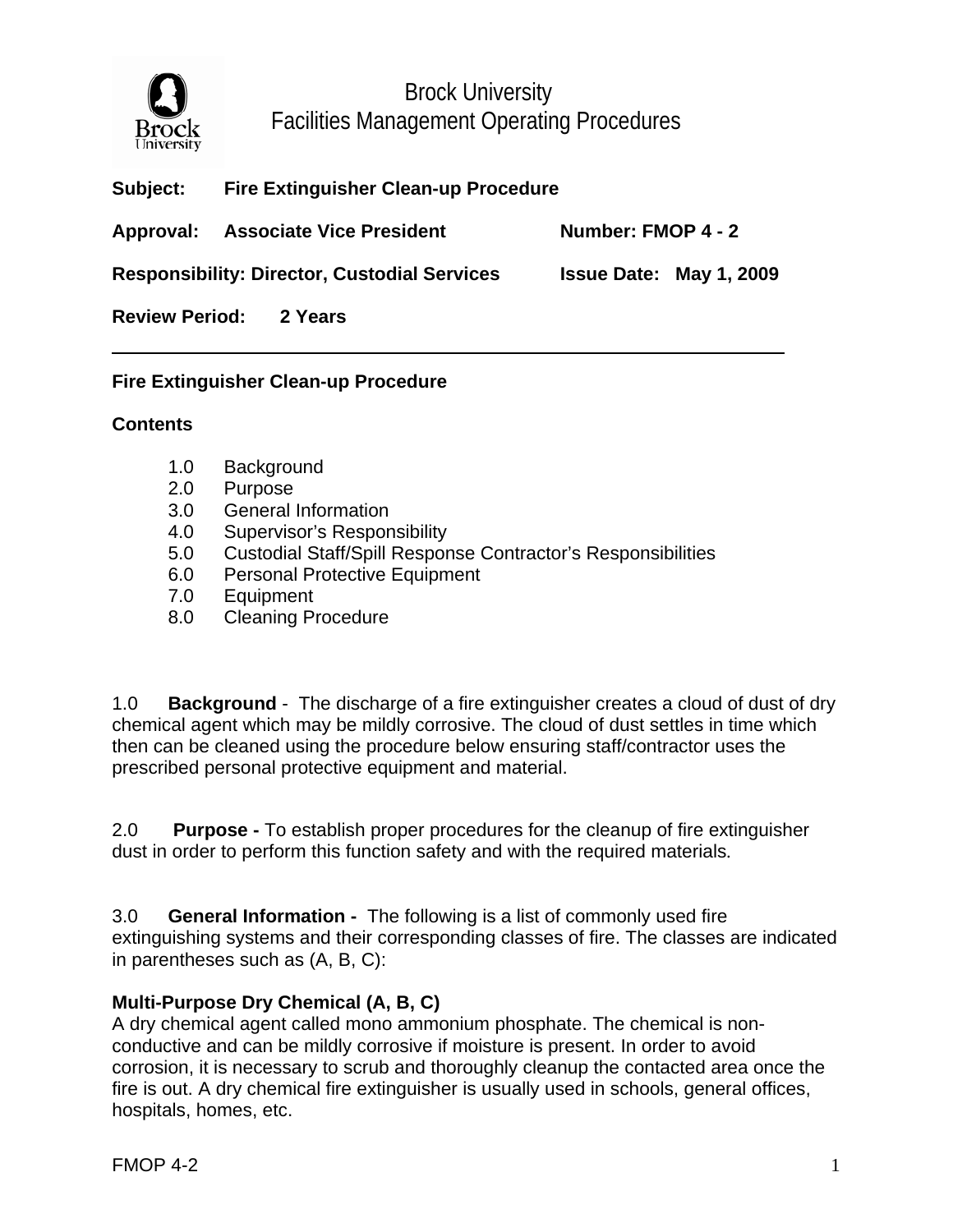

Brock University Facilities Management Operating Procedures

| <b>Subject:</b> | <b>Fire Extinguisher Clean-up Procedure</b> |  |
|-----------------|---------------------------------------------|--|
|                 |                                             |  |

Approval: Associate Vice President Number: FMOP 4 - 2

**Responsibility: Director, Custodial Services Issue Date: May 1, 2009** 

**Review Period: 2 Years** 

### **Fire Extinguisher Clean-up Procedure**

### **Contents**

- 1.0 Background
- 2.0 Purpose
- 3.0 General Information
- 4.0 Supervisor's Responsibility
- 5.0 Custodial Staff/Spill Response Contractor's Responsibilities
- 6.0 Personal Protective Equipment
- 7.0 Equipment
- 8.0 Cleaning Procedure

1.0 **Background** - The discharge of a fire extinguisher creates a cloud of dust of dry chemical agent which may be mildly corrosive. The cloud of dust settles in time which then can be cleaned using the procedure below ensuring staff/contractor uses the prescribed personal protective equipment and material.

2.0 **Purpose -** To establish proper procedures for the cleanup of fire extinguisher dust in order to perform this function safety and with the required materials.

3.0 **General Information -** The following is a list of commonly used fire extinguishing systems and their corresponding classes of fire. The classes are indicated in parentheses such as (A, B, C):

# **Multi-Purpose Dry Chemical (A, B, C)**

A dry chemical agent called mono ammonium phosphate. The chemical is nonconductive and can be mildly corrosive if moisture is present. In order to avoid corrosion, it is necessary to scrub and thoroughly cleanup the contacted area once the fire is out. A dry chemical fire extinguisher is usually used in schools, general offices, hospitals, homes, etc.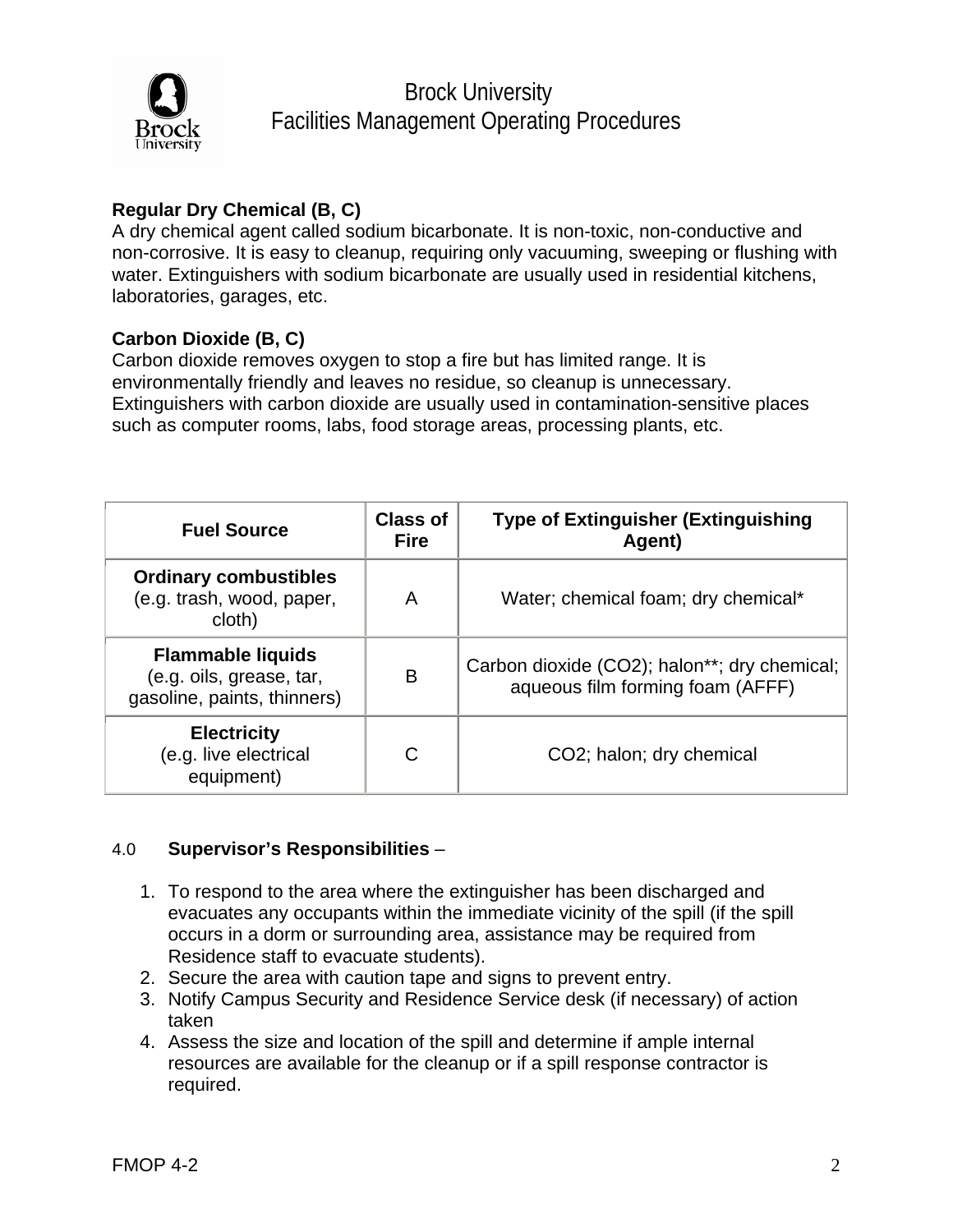

Brock University Facilities Management Operating Procedures

## **Regular Dry Chemical (B, C)**

A dry chemical agent called sodium bicarbonate. It is non-toxic, non-conductive and non-corrosive. It is easy to cleanup, requiring only vacuuming, sweeping or flushing with water. Extinguishers with sodium bicarbonate are usually used in residential kitchens, laboratories, garages, etc.

### **Carbon Dioxide (B, C)**

Carbon dioxide removes oxygen to stop a fire but has limited range. It is environmentally friendly and leaves no residue, so cleanup is unnecessary. Extinguishers with carbon dioxide are usually used in contamination-sensitive places such as computer rooms, labs, food storage areas, processing plants, etc.

| <b>Fuel Source</b>                                                                  | <b>Class of</b><br><b>Fire</b> | <b>Type of Extinguisher (Extinguishing</b><br>Agent)                             |
|-------------------------------------------------------------------------------------|--------------------------------|----------------------------------------------------------------------------------|
| <b>Ordinary combustibles</b><br>(e.g. trash, wood, paper,<br>cloth)                 | A                              | Water; chemical foam; dry chemical*                                              |
| <b>Flammable liquids</b><br>(e.g. oils, grease, tar,<br>gasoline, paints, thinners) | B                              | Carbon dioxide (CO2); halon**; dry chemical;<br>aqueous film forming foam (AFFF) |
| <b>Electricity</b><br>(e.g. live electrical<br>equipment)                           | C                              | CO2; halon; dry chemical                                                         |

### 4.0 **Supervisor's Responsibilities** –

- 1. To respond to the area where the extinguisher has been discharged and evacuates any occupants within the immediate vicinity of the spill (if the spill occurs in a dorm or surrounding area, assistance may be required from Residence staff to evacuate students).
- 2. Secure the area with caution tape and signs to prevent entry.
- 3. Notify Campus Security and Residence Service desk (if necessary) of action taken
- 4. Assess the size and location of the spill and determine if ample internal resources are available for the cleanup or if a spill response contractor is required.